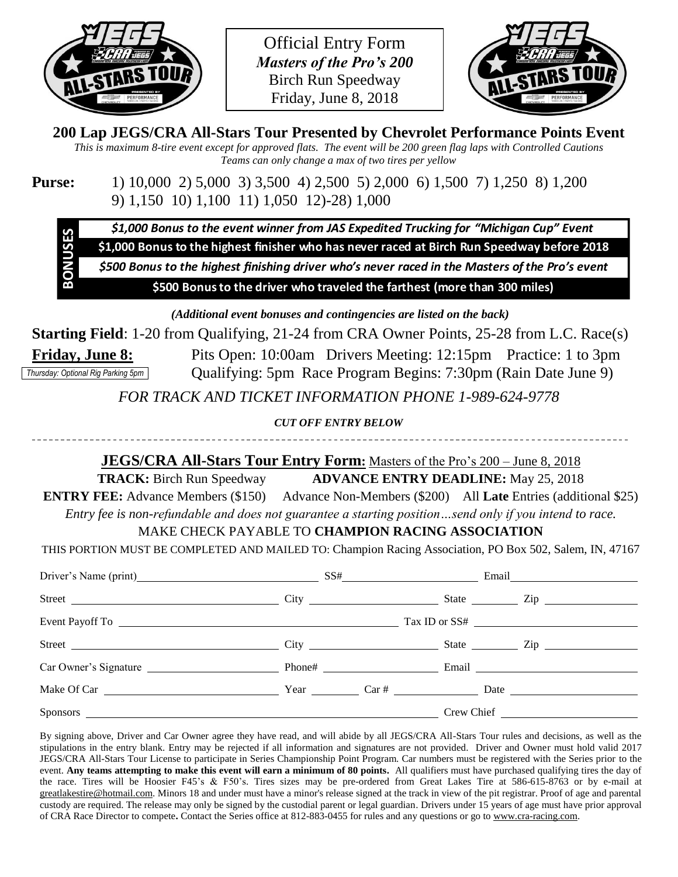

Official Entry Form *Masters of the Pro's 200* Birch Run Speedway Friday, June 8, 2018



## **200 Lap JEGS/CRA All-Stars Tour Presented by Chevrolet Performance Points Event**

*This is maximum 8-tire event except for approved flats. The event will be 200 green flag laps with Controlled Cautions Teams can only change a max of two tires per yellow*

**Purse:** 1) 10,000 2) 5,000 3) 3,500 4) 2,500 5) 2,000 6) 1,500 7) 1,250 8) 1,200 9) 1,150 10) 1,100 11) 1,050 12)-28) 1,000

\$1,000 Bonus to the event winner from JAS Expedited Trucking for "Michigan Cup" Event

\$1,000 Bonus to the highest finisher who has never raced at Birch Run Speedway before 2018

\$500 Bonus to the highest finishing driver who's never raced in the Masters of the Pro's event

\$500 Bonus to the driver who traveled the farthest (more than 300 miles)

*(Additional event bonuses and contingencies are listed on the back)*

**Starting Field**: 1-20 from Qualifying, 21-24 from CRA Owner Points, 25-28 from L.C. Race(s) **Friday, June 8:** Pits Open: 10:00am Drivers Meeting: 12:15pm Practice: 1 to 3pm Qualifying: 5pm Race Program Begins: 7:30pm (Rain Date June 9) *Thursday: Optional Rig Parking 5pm*

*FOR TRACK AND TICKET INFORMATION PHONE 1-989-624-9778*

*CUT OFF ENTRY BELOW*

# -----------------

## **JEGS/CRA All-Stars Tour Entry Form:** Masters of the Pro's 200 – June 8, 2018

**TRACK:** Birch Run Speedway **ADVANCE ENTRY DEADLINE:** May 25, 2018 **ENTRY FEE:** Advance Members (\$150) Advance Non-Members (\$200) All **Late** Entries (additional \$25)

*Entry fee is non-refundable and does not guarantee a starting position…send only if you intend to race.* MAKE CHECK PAYABLE TO **CHAMPION RACING ASSOCIATION**

THIS PORTION MUST BE COMPLETED AND MAILED TO: Champion Racing Association, PO Box 502, Salem, IN, 47167

| Driver's Name (print) SS# Email Email                  |  |                              |
|--------------------------------------------------------|--|------------------------------|
| Street City City City State City State City State City |  |                              |
|                                                        |  |                              |
|                                                        |  |                              |
|                                                        |  |                              |
|                                                        |  |                              |
|                                                        |  | Crew Chief <u>Crew Chief</u> |

By signing above, Driver and Car Owner agree they have read, and will abide by all JEGS/CRA All-Stars Tour rules and decisions, as well as the stipulations in the entry blank. Entry may be rejected if all information and signatures are not provided. Driver and Owner must hold valid 2017 JEGS/CRA All-Stars Tour License to participate in Series Championship Point Program. Car numbers must be registered with the Series prior to the event. **Any teams attempting to make this event will earn a minimum of 80 points.** All qualifiers must have purchased qualifying tires the day of the race. Tires will be Hoosier F45's & F50's. Tires sizes may be pre-ordered from Great Lakes Tire at 586-615-8763 or by e-mail at [greatlakestire@hotmail.com.](mailto:greatlakestire@hotmail.com) Minors 18 and under must have a minor's release signed at the track in view of the pit registrar. Proof of age and parental custody are required. The release may only be signed by the custodial parent or legal guardian. Drivers under 15 years of age must have prior approval of CRA Race Director to compete**.** Contact the Series office at 812-883-0455 for rules and any questions or go t[o www.cra-racing.com.](http://www.cra-racing.com/)